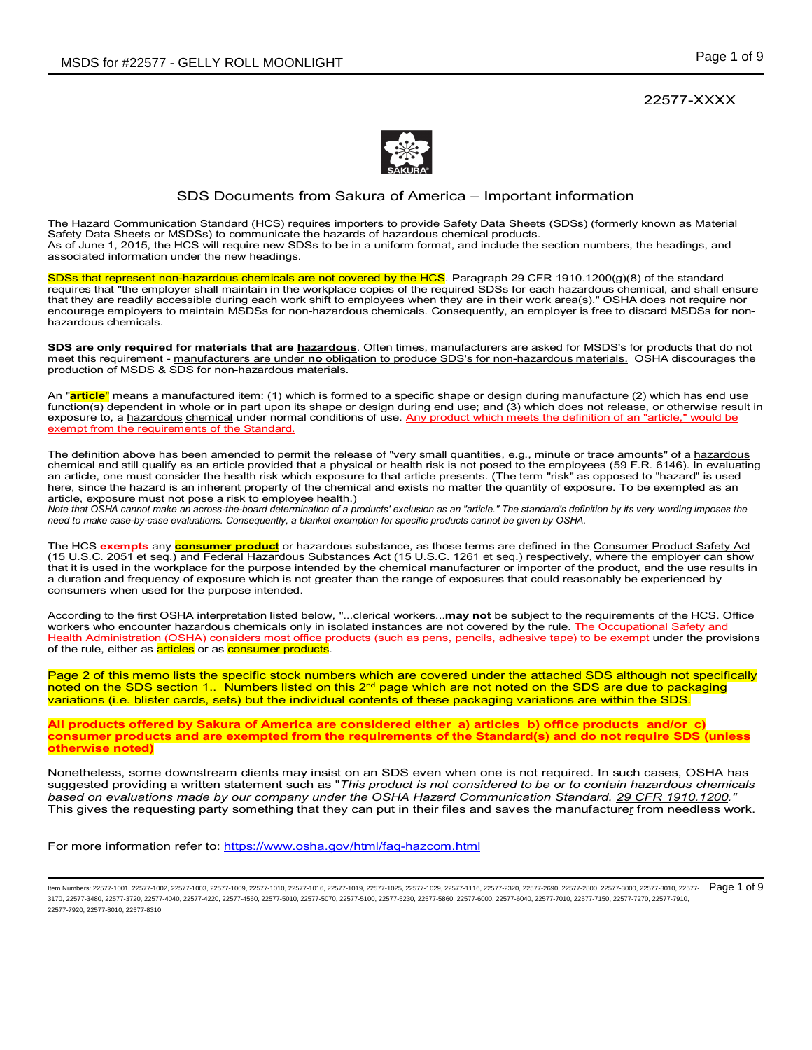22577-XXXX



# SDS Documents from Sakura of America – Important information

The Hazard Communication Standard (HCS) requires importers to provide Safety Data Sheets (SDSs) (formerly known as Material Safety Data Sheets or MSDSs) to communicate the hazards of hazardous chemical products. As of June 1, 2015, the HCS will require new SDSs to be in a uniform format, and include the section numbers, the headings, and associated information under the new headings.

SDSs that represent non-hazardous chemicals are not covered by the HCS. Paragraph 29 CFR 1910.1200(g)(8) of the standard requires that "the employer shall maintain in the workplace copies of the required SDSs for each hazardous chemical, and shall ensure that they are readily accessible during each work shift to employees when they are in their work area(s)." OSHA does not require nor encourage employers to maintain MSDSs for non-hazardous chemicals. Consequently, an employer is free to discard MSDSs for nonhazardous chemicals.

**SDS are only required for materials that are hazardous**. Often times, manufacturers are asked for MSDS's for products that do not meet this requirement - manufacturers are under **no** obligation to produce SDS's for non-hazardous materials. OSHA discourages the production of MSDS & SDS for non-hazardous materials.

An "**article**" means a manufactured item: (1) which is formed to a specific shape or design during manufacture (2) which has end use function(s) dependent in whole or in part upon its shape or design during end use; and (3) which does not release, or otherwise result in exposure to, a hazardous chemical under normal conditions of use. Any product which meets the definition of an "article," would be exempt from the requirements of the Standard.

The definition above has been amended to permit the release of "very small quantities, e.g., minute or trace amounts" of a hazardous chemical and still qualify as an article provided that a physical or health risk is not posed to the employees (59 F.R. 6146). In evaluating an article, one must consider the health risk which exposure to that article presents. (The term "risk" as opposed to "hazard" is used here, since the hazard is an inherent property of the chemical and exists no matter the quantity of exposure. To be exempted as an article, exposure must not pose a risk to employee health.)

*Note that OSHA cannot make an across-the-board determination of a products' exclusion as an "article." The standard's definition by its very wording imposes the need to make case-by-case evaluations. Consequently, a blanket exemption for specific products cannot be given by OSHA.*

The HCS **exempts** any **consumer product** or hazardous substance, as those terms are defined in the Consumer Product Safety Act (15 U.S.C. 2051 et seq.) and Federal Hazardous Substances Act (15 U.S.C. 1261 et seq.) respectively, where the employer can show that it is used in the workplace for the purpose intended by the chemical manufacturer or importer of the product, and the use results in a duration and frequency of exposure which is not greater than the range of exposures that could reasonably be experienced by consumers when used for the purpose intended.

According to the first OSHA interpretation listed below, "...clerical workers...**may not** be subject to the requirements of the HCS. Office workers who encounter hazardous chemicals only in isolated instances are not covered by the rule. The Occupational Safety and Health Administration (OSHA) considers most office products (such as pens, pencils, adhesive tape) to be exempt under the provisions of the rule, either as **articles** or as **consumer products**.

Page 2 of this memo lists the specific stock numbers which are covered under the attached SDS although not specifically noted on the SDS section 1.. Numbers listed on this 2<sup>nd</sup> page which are not noted on the SDS are due to packaging variations (i.e. blister cards, sets) but the individual contents of these packaging variations are within the SDS.

**All products offered by Sakura of America are considered either a) articles b) office products and/or c) consumer products and are exempted from the requirements of the Standard(s) and do not require SDS (unless otherwise noted)** 

Nonetheless, some downstream clients may insist on an SDS even when one is not required. In such cases, OSHA has suggested providing a written statement such as "*This product is not considered to be or to contain hazardous chemicals based on evaluations made by our company under the OSHA Hazard Communication Standard, 29 CFR 1910.1200."* This gives the requesting party something that they can put in their files and saves the manufacturer from needless work.

For more information refer to: https://www.osha.gov/html/faq-hazcom.html

ltem Numbers: 22577-1001, 22577-1002, 22577-1003, 22577-1009, 22577-1010, 22577-1018, 22577-1019, 22577-1025, 22577-1029, 22577-1018, 22577-1018, 22577-2800, 22577-2800, 22577-2800, 22577-3000, 22577-3000, 22577-3000, 2257 3170, 22577-3480, 22577-3720, 22577-4040, 22577-4220, 22577-4560, 22577-5010, 22577-5070, 22577-5100, 22577-5230, 22577-5860, 22577-6000, 22577-6040, 22577-7010, 22577-7150, 22577-7270, 22577-7910, 22577-7920, 22577-8010, 22577-8310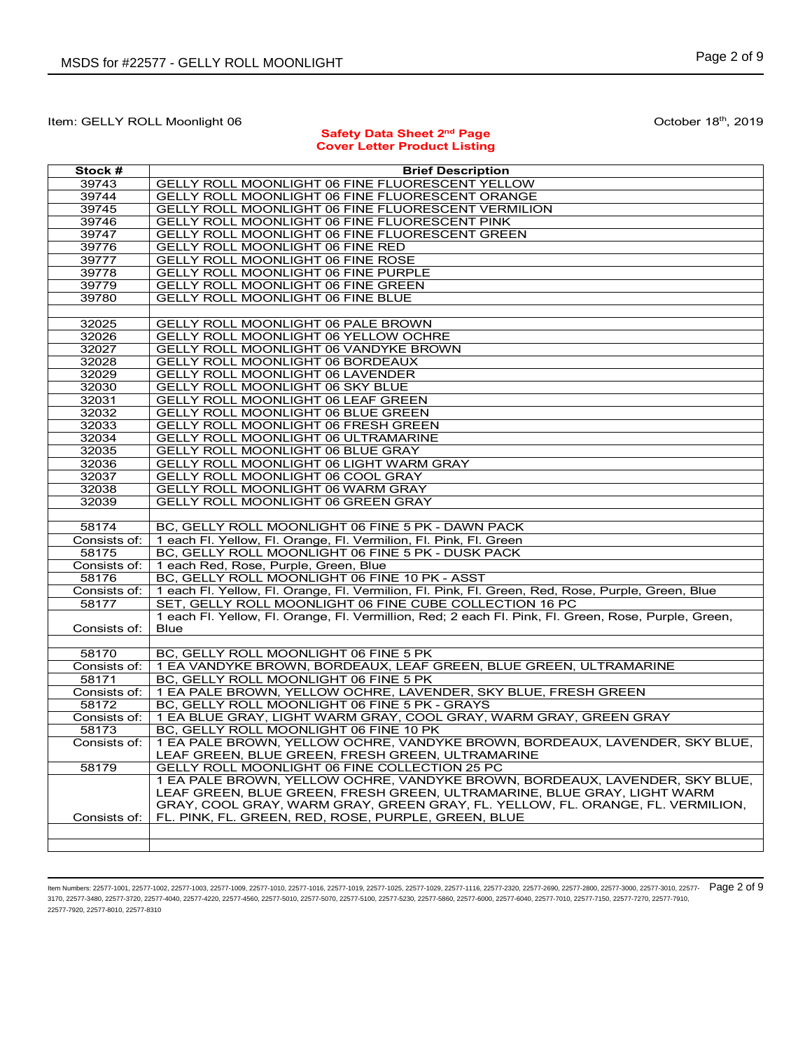# Item: GELLY ROLL Moonlight 06 **October 18th, 2019** October 18th, 2019

## **Safety Data Sheet 2nd Page Cover Letter Product Listing**

| Stock #               | <b>Brief Description</b>                                                                                           |
|-----------------------|--------------------------------------------------------------------------------------------------------------------|
| 39743                 | GELLY ROLL MOONLIGHT 06 FINE FLUORESCENT YELLOW                                                                    |
| 39744                 | GELLY ROLL MOONLIGHT 06 FINE FLUORESCENT ORANGE                                                                    |
| 39745                 | GELLY ROLL MOONLIGHT 06 FINE FLUORESCENT VERMILION                                                                 |
| 39746                 | GELLY ROLL MOONLIGHT 06 FINE FLUORESCENT PINK                                                                      |
| 39747                 | GELLY ROLL MOONLIGHT 06 FINE FLUORESCENT GREEN                                                                     |
| 39776                 | GELLY ROLL MOONLIGHT 06 FINE RED                                                                                   |
| 39777                 | <b>GELLY ROLL MOONLIGHT 06 FINE ROSE</b>                                                                           |
| 39778                 | GELLY ROLL MOONLIGHT 06 FINE PURPLE                                                                                |
| 39779                 | GELLY ROLL MOONLIGHT 06 FINE GREEN                                                                                 |
| 39780                 | <b>GELLY ROLL MOONLIGHT 06 FINE BLUE</b>                                                                           |
|                       |                                                                                                                    |
| 32025                 | GELLY ROLL MOONLIGHT 06 PALE BROWN                                                                                 |
| 32026                 | GELLY ROLL MOONLIGHT 06 YELLOW OCHRE                                                                               |
| 32027                 | GELLY ROLL MOONLIGHT 06 VANDYKE BROWN                                                                              |
| 32028                 | GELLY ROLL MOONLIGHT 06 BORDEAUX                                                                                   |
| 32029                 | GELLY ROLL MOONLIGHT 06 LAVENDER                                                                                   |
| 32030                 | <b>GELLY ROLL MOONLIGHT 06 SKY BLUE</b>                                                                            |
| 32031                 | GELLY ROLL MOONLIGHT 06 LEAF GREEN                                                                                 |
| 32032                 | GELLY ROLL MOONLIGHT 06 BLUE GREEN                                                                                 |
| 32033                 | GELLY ROLL MOONLIGHT 06 FRESH GREEN                                                                                |
| 32034                 | <b>GELLY ROLL MOONLIGHT 06 ULTRAMARINE</b>                                                                         |
| 32035                 | <b>GELLY ROLL MOONLIGHT 06 BLUE GRAY</b>                                                                           |
| 32036                 | GELLY ROLL MOONLIGHT 06 LIGHT WARM GRAY                                                                            |
| 32037                 | GELLY ROLL MOONLIGHT 06 COOL GRAY                                                                                  |
| 32038                 | GELLY ROLL MOONLIGHT 06 WARM GRAY                                                                                  |
| 32039                 | <b>GELLY ROLL MOONLIGHT 06 GREEN GRAY</b>                                                                          |
|                       |                                                                                                                    |
| 58174                 | BC, GELLY ROLL MOONLIGHT 06 FINE 5 PK - DAWN PACK                                                                  |
| Consists of:          | 1 each Fl. Yellow, Fl. Orange, Fl. Vermilion, Fl. Pink, Fl. Green                                                  |
| 58175                 | BC, GELLY ROLL MOONLIGHT 06 FINE 5 PK - DUSK PACK                                                                  |
| Consists of:          | 1 each Red, Rose, Purple, Green, Blue                                                                              |
| 58176                 | BC, GELLY ROLL MOONLIGHT 06 FINE 10 PK - ASST                                                                      |
| Consists of:          | 1 each Fl. Yellow, Fl. Orange, Fl. Vermilion, Fl. Pink, Fl. Green, Red, Rose, Purple, Green, Blue                  |
| 58177                 | SET, GELLY ROLL MOONLIGHT 06 FINE CUBE COLLECTION 16 PC                                                            |
|                       | 1 each Fl. Yellow, Fl. Orange, Fl. Vermillion, Red; 2 each Fl. Pink, Fl. Green, Rose, Purple, Green,               |
| Consists of:          | <b>Blue</b>                                                                                                        |
|                       |                                                                                                                    |
| 58170                 | BC, GELLY ROLL MOONLIGHT 06 FINE 5 PK                                                                              |
| Consists of:          | 1 EA VANDYKE BROWN, BORDEAUX, LEAF GREEN, BLUE GREEN, ULTRAMARINE                                                  |
| 58171                 | BC, GELLY ROLL MOONLIGHT 06 FINE 5 PK                                                                              |
| Consists of:          | 1 EA PALE BROWN, YELLOW OCHRE, LAVENDER, SKY BLUE, FRESH GREEN                                                     |
| 58172<br>Consists of: | BC, GELLY ROLL MOONLIGHT 06 FINE 5 PK - GRAYS<br>1 EA BLUE GRAY, LIGHT WARM GRAY, COOL GRAY, WARM GRAY, GREEN GRAY |
| 58173                 | BC, GELLY ROLL MOONLIGHT 06 FINE 10 PK                                                                             |
| Consists of:          | 1 EA PALE BROWN, YELLOW OCHRE, VANDYKE BROWN, BORDEAUX, LAVENDER, SKY BLUE,                                        |
|                       | LEAF GREEN, BLUE GREEN, FRESH GREEN, ULTRAMARINE                                                                   |
| 58179                 | GELLY ROLL MOONLIGHT 06 FINE COLLECTION 25 PC                                                                      |
|                       | 1 EA PALE BROWN, YELLOW OCHRE, VANDYKE BROWN, BORDEAUX, LAVENDER, SKY BLUE,                                        |
|                       | LEAF GREEN, BLUE GREEN, FRESH GREEN, ULTRAMARINE, BLUE GRAY, LIGHT WARM                                            |
|                       | GRAY, COOL GRAY, WARM GRAY, GREEN GRAY, FL. YELLOW, FL. ORANGE, FL. VERMILION,                                     |
| Consists of:          | FL. PINK, FL. GREEN, RED, ROSE, PURPLE, GREEN, BLUE                                                                |
|                       |                                                                                                                    |
|                       |                                                                                                                    |

ltem Numbers: 22577-1001, 22577-1002, 22577-1003, 22577-1009, 22577-1010, 22577-1018, 22577-1019, 22577-1025, 22577-1029, 22577-1018, 22577-1018, 22577-2800, 22577-2800, 22577-3800, 22577-3000, 22577-3000, 22577-3000, 2257 3170, 22577-3480, 22577-3720, 22577-4040, 22577-4220, 22577-4560, 22577-5010, 22577-5070, 22577-5100, 22577-5230, 22577-5860, 22577-6000, 22577-6040, 22577-7010, 22577-7150, 22577-7270, 22577-7910, 22577-7920, 22577-8010, 22577-8310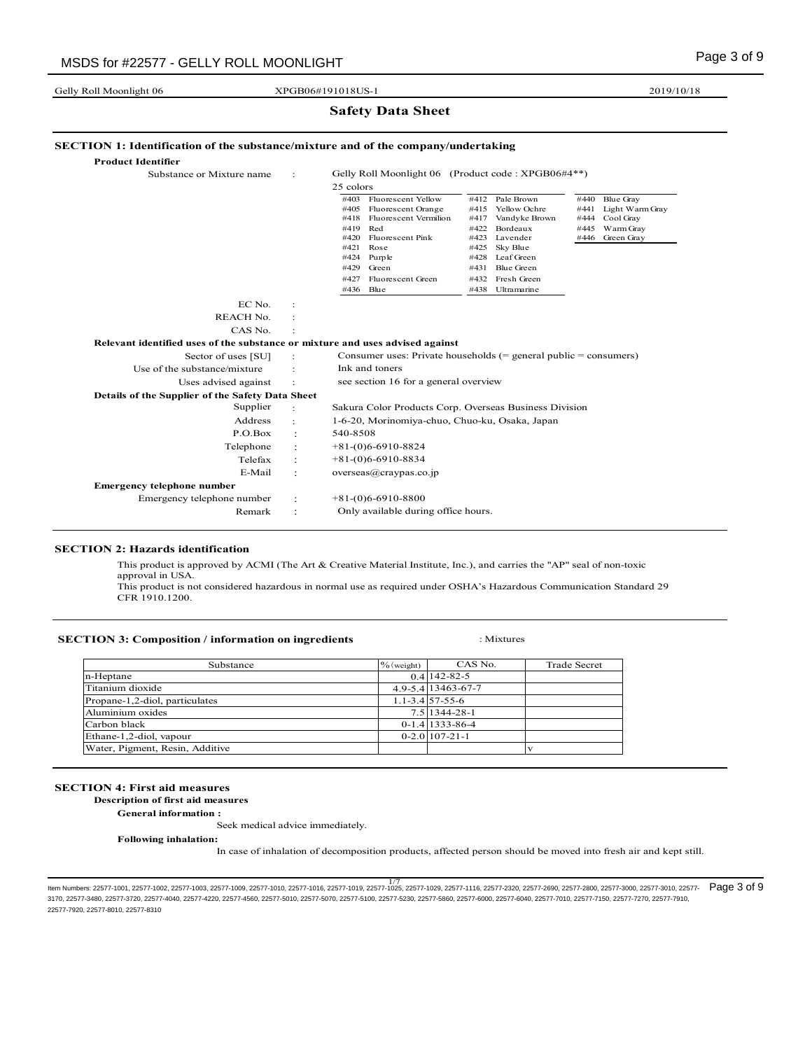Gelly Roll Moonlight 06

|                                                                               |   | <b>Safety Data Sheet</b>                                                                                                                                                                                                                                                                                                                                                                                                                                                                                                                                                               |
|-------------------------------------------------------------------------------|---|----------------------------------------------------------------------------------------------------------------------------------------------------------------------------------------------------------------------------------------------------------------------------------------------------------------------------------------------------------------------------------------------------------------------------------------------------------------------------------------------------------------------------------------------------------------------------------------|
|                                                                               |   | <b>SECTION 1: Identification of the substance/mixture and of the company/undertaking</b>                                                                                                                                                                                                                                                                                                                                                                                                                                                                                               |
| <b>Product Identifier</b>                                                     |   |                                                                                                                                                                                                                                                                                                                                                                                                                                                                                                                                                                                        |
| Substance or Mixture name                                                     | ÷ | Gelly Roll Moonlight 06 (Product code: XPGB06#4**)                                                                                                                                                                                                                                                                                                                                                                                                                                                                                                                                     |
|                                                                               |   | 25 colors                                                                                                                                                                                                                                                                                                                                                                                                                                                                                                                                                                              |
|                                                                               |   | #403 Fluorescent Yellow<br>#412 Pale Brown<br>#440<br><b>Blue Gray</b><br>#415 Yellow Ochre<br>Light Warm Gray<br>#405<br>Fluorescent Orange<br>#441<br>Fluorescent Vermilion<br>Cool Gray<br>#418<br>#417<br>Vandyke Brown<br>#444<br>Red<br>Bordeaux<br>Warm Gray<br>#419<br>#422<br>#445<br>#420<br>Fluorescent Pink<br>#423<br>Lavender<br>#446<br>Green Gray<br>#421<br>Rose<br>#425<br>Sky Blue<br>Purple<br>Leaf Green<br>#424<br>#428<br>#429<br>Green<br><b>Blue Green</b><br>#431<br>Fluorescent Green<br>Fresh Green<br>#427<br>#432<br>#436<br>Blue<br>#438<br>Ultramarine |
| EC No.                                                                        |   |                                                                                                                                                                                                                                                                                                                                                                                                                                                                                                                                                                                        |
| <b>REACH No.</b>                                                              |   |                                                                                                                                                                                                                                                                                                                                                                                                                                                                                                                                                                                        |
| CAS No.                                                                       |   |                                                                                                                                                                                                                                                                                                                                                                                                                                                                                                                                                                                        |
| Relevant identified uses of the substance or mixture and uses advised against |   |                                                                                                                                                                                                                                                                                                                                                                                                                                                                                                                                                                                        |
| Sector of uses [SU]                                                           |   | Consumer uses: Private households $(=$ general public $=$ consumers)                                                                                                                                                                                                                                                                                                                                                                                                                                                                                                                   |
| Use of the substance/mixture                                                  |   | Ink and toners                                                                                                                                                                                                                                                                                                                                                                                                                                                                                                                                                                         |
| Uses advised against                                                          |   | see section 16 for a general overview                                                                                                                                                                                                                                                                                                                                                                                                                                                                                                                                                  |
| Details of the Supplier of the Safety Data Sheet                              |   |                                                                                                                                                                                                                                                                                                                                                                                                                                                                                                                                                                                        |
| Supplier                                                                      |   | Sakura Color Products Corp. Overseas Business Division                                                                                                                                                                                                                                                                                                                                                                                                                                                                                                                                 |
| Address                                                                       |   | 1-6-20, Morinomiya-chuo, Chuo-ku, Osaka, Japan                                                                                                                                                                                                                                                                                                                                                                                                                                                                                                                                         |
| P.O.Box                                                                       |   | 540-8508                                                                                                                                                                                                                                                                                                                                                                                                                                                                                                                                                                               |
| Telephone                                                                     |   | $+81-(0)6-6910-8824$                                                                                                                                                                                                                                                                                                                                                                                                                                                                                                                                                                   |
| Telefax                                                                       |   | $+81-(0)6-6910-8834$                                                                                                                                                                                                                                                                                                                                                                                                                                                                                                                                                                   |
| E-Mail                                                                        |   | $overse(a)$ craypas.co.jp                                                                                                                                                                                                                                                                                                                                                                                                                                                                                                                                                              |
| <b>Emergency telephone number</b>                                             |   |                                                                                                                                                                                                                                                                                                                                                                                                                                                                                                                                                                                        |
| Emergency telephone number                                                    |   | $+81-(0)6-6910-8800$                                                                                                                                                                                                                                                                                                                                                                                                                                                                                                                                                                   |
| Remark                                                                        |   | Only available during office hours.                                                                                                                                                                                                                                                                                                                                                                                                                                                                                                                                                    |

XPGB06#191018US-1

#### **SECTION 2: Hazards identification**

This product is approved by ACMI (The Art & Creative Material Institute, Inc.), and carries the "AP" seal of non-toxic approval in USA.

This product is not considered hazardous in normal use as required under OSHA's Hazardous Communication Standard 29 CFR 1910.1200.

# **SECTION 3: Composition / information on ingredients** : Mixtures

| Substance                       | $\%$ (weight) | CAS No.             | <b>Trade Secret</b> |
|---------------------------------|---------------|---------------------|---------------------|
| n-Heptane                       |               | $0.4$ 142-82-5      |                     |
| Titanium dioxide                |               | 4 9-5 4 13463-67-7  |                     |
| Propane-1,2-diol, particulates  |               | $1.1 - 3.4$ 57-55-6 |                     |
| Aluminium oxides                |               | 7.5 1344-28-1       |                     |
| Carbon black                    |               | $0-1.4$   1333-86-4 |                     |
| Ethane-1,2-diol, vapour         |               | $0-2.0$ 107-21-1    |                     |
| Water, Pigment, Resin, Additive |               |                     |                     |

## **SECTION 4: First aid measures**

 **Description of first aid measures**

**General information :**

Seek medical advice immediately.

**Following inhalation:**

In case of inhalation of decomposition products, affected person should be moved into fresh air and kept still.

1/7 Item Numbers: 22577-1001, 22577-1002, 22577-1003, 22577-1009, 22577-1010, 22577-1016, 22577-1019, 22577-1025, 22577-1029, 22577-1116, 22577-2320, 22577-2690, 22577-2800, 22577-3000, 22577-3010, 22577- Page 3 of 93170, 22577-3480, 22577-3720, 22577-4040, 22577-4220, 22577-4560, 22577-5010, 22577-5070, 22577-5100, 22577-5230, 22577-5860, 22577-6000, 22577-6040, 22577-7010, 22577-7150, 22577-7270, 22577-7910, 22577-7920, 22577-8010, 22577-8310

2019/10/18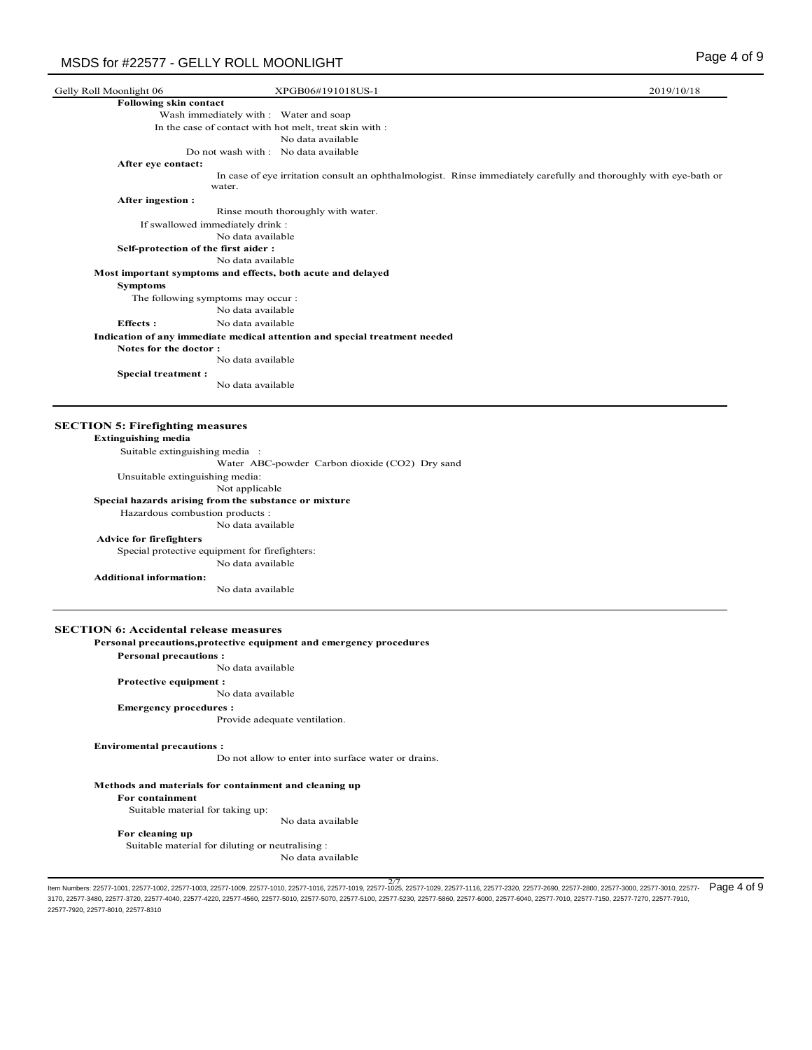| Gelly Roll Moonlight 06             | XPGB06#191018US-1                                                                                                           | 2019/10/18 |
|-------------------------------------|-----------------------------------------------------------------------------------------------------------------------------|------------|
| Following skin contact              |                                                                                                                             |            |
|                                     | Wash immediately with : Water and soap                                                                                      |            |
|                                     | In the case of contact with hot melt, treat skin with :                                                                     |            |
|                                     | No data available                                                                                                           |            |
|                                     | Do not wash with : No data available                                                                                        |            |
| After eye contact:                  |                                                                                                                             |            |
|                                     | In case of eye irritation consult an ophthalmologist. Rinse immediately carefully and thoroughly with eye-bath or<br>water. |            |
| After ingestion:                    |                                                                                                                             |            |
|                                     | Rinse mouth thoroughly with water.                                                                                          |            |
| If swallowed immediately drink:     |                                                                                                                             |            |
|                                     | No data available                                                                                                           |            |
| Self-protection of the first aider: |                                                                                                                             |            |
|                                     | No data available                                                                                                           |            |
|                                     | Most important symptoms and effects, both acute and delayed                                                                 |            |
| <b>Symptoms</b>                     |                                                                                                                             |            |
| The following symptoms may occur:   |                                                                                                                             |            |
|                                     | No data available                                                                                                           |            |
| <b>Effects:</b>                     | No data available                                                                                                           |            |
|                                     | Indication of any immediate medical attention and special treatment needed                                                  |            |
| Notes for the doctor:               |                                                                                                                             |            |
|                                     | No data available                                                                                                           |            |
| <b>Special treatment:</b>           |                                                                                                                             |            |
|                                     | No data available                                                                                                           |            |
|                                     |                                                                                                                             |            |
|                                     |                                                                                                                             |            |

#### **SECTION 5: Firefighting measures**

#### **Extinguishing media**

 Suitable extinguishing media : Unsuitable extinguishing media: Water ABC-powder Carbon dioxide (CO2) Dry sand

Not applicable

# **Special hazards arising from the substance or mixture**

Hazardous combustion products :

No data available

#### **Advice for firefighters**

Special protective equipment for firefighters:

No data available

## **Additional information:**

No data available

#### **SECTION 6: Accidental release measures**

## **Personal precautions,protective equipment and emergency procedures**

**Personal precautions :**

No data available

#### **Protective equipment :**

No data available

#### **Emergency procedures :**

Provide adequate ventilation.

#### **Enviromental precautions :**

Do not allow to enter into surface water or drains.

#### **Methods and materials for containment and cleaning up**

**For containment** 

Suitable material for taking up:

No data available

#### **For cleaning up**

 Suitable material for diluting or neutralising : No data available

ltem Numbers: 22577-1001, 22577-1002, 22577-1003, 22577-1009, 22577-1010, 22577-1016, 22577-1019, 22577-1025, 22577-1029, 22577-1116, 22577-2320, 22577-2690, 22577-2800, 22577-3000, 22577-3010, 22577-<br>Item Numbers: 22577-1 3170, 22577-3480, 22577-3720, 22577-4040, 22577-4220, 22577-4560, 22577-5010, 22577-5070, 22577-5100, 22577-5230, 22577-5860, 22577-6000, 22577-6040, 22577-7010, 22577-7150, 22577-7270, 22577-7910, 22577-7920, 22577-8010, 22577-8310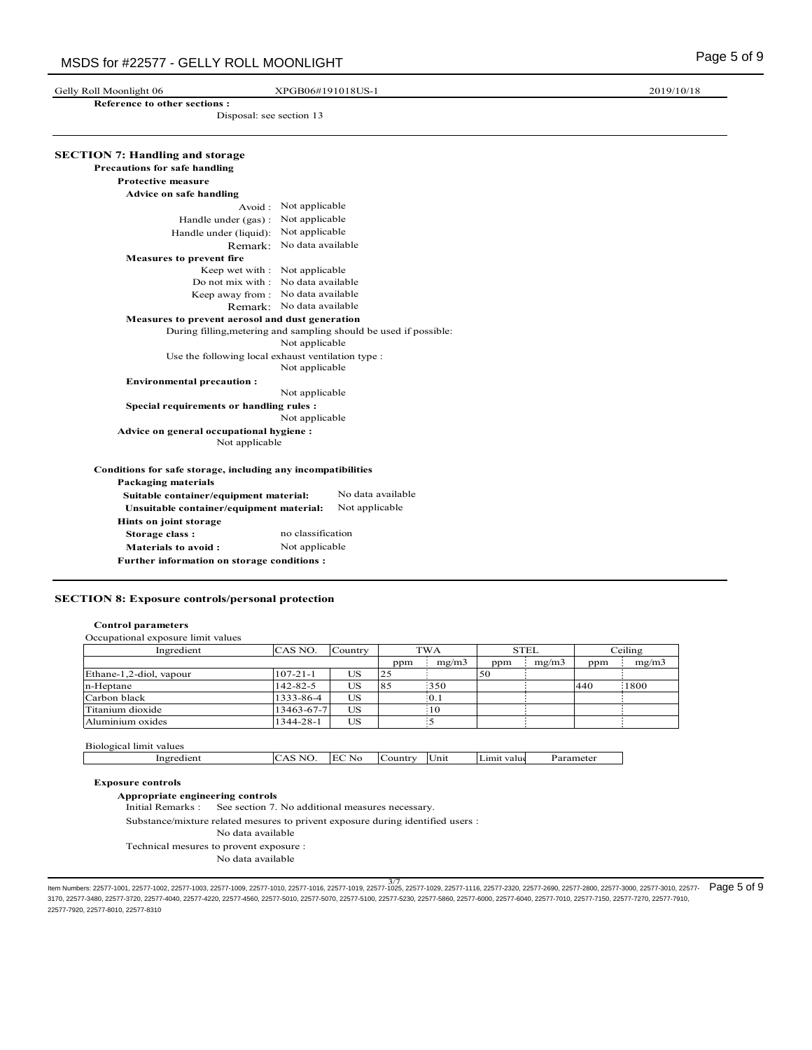Gelly Roll Moonlight 06 **XPGB06#191018US-1** 2019/10/18

 **Reference to other sections :** Disposal: see section 13

| <b>Precautions for safe handling</b>                         |                                                                   |
|--------------------------------------------------------------|-------------------------------------------------------------------|
| <b>Protective measure</b>                                    |                                                                   |
| Advice on safe handling                                      |                                                                   |
|                                                              | Avoid: Not applicable                                             |
| Handle under (gas):                                          | Not applicable                                                    |
| Handle under (liquid): Not applicable                        |                                                                   |
|                                                              | Remark: No data available                                         |
| <b>Measures to prevent fire</b>                              |                                                                   |
| Keep wet with : Not applicable                               |                                                                   |
|                                                              | Do not mix with : No data available                               |
|                                                              | Keep away from: No data available                                 |
|                                                              | Remark: No data available                                         |
| Measures to prevent aerosol and dust generation              |                                                                   |
|                                                              | During filling, metering and sampling should be used if possible: |
|                                                              | Not applicable                                                    |
| Use the following local exhaust ventilation type :           | Not applicable                                                    |
| <b>Environmental precaution:</b>                             |                                                                   |
|                                                              | Not applicable                                                    |
| Special requirements or handling rules :                     | Not applicable                                                    |
| Advice on general occupational hygiene :                     |                                                                   |
| Not applicable                                               |                                                                   |
| Conditions for safe storage, including any incompatibilities |                                                                   |
| <b>Packaging materials</b>                                   |                                                                   |
| Suitable container/equipment material:                       | No data available                                                 |
| Unsuitable container/equipment material:                     | Not applicable                                                    |
| Hints on joint storage                                       |                                                                   |
| Storage class:                                               | no classification                                                 |
| <b>Materials to avoid:</b>                                   | Not applicable                                                    |

## **SECTION 8: Exposure controls/personal protection**

## **Control parameters**

| Ingredient              | CAS NO.        | Country   |     | <b>TWA</b>  |     | <b>STEL</b> |     | Ceiling |
|-------------------------|----------------|-----------|-----|-------------|-----|-------------|-----|---------|
|                         |                |           | ppm | mg/m3       | ppm | mg/m3       | ppm | mg/m3   |
| Ethane-1,2-diol, vapour | $107 - 21 - 1$ | US        | 25  |             | 50  |             |     |         |
| n-Heptane               | 142-82-5       | US        | 85  | 350         |     |             | 440 | 1800    |
| Carbon black            | 1333-86-4      | US        |     | $\cdot$ 0.1 |     |             |     |         |
| Titanium dioxide        | 13463-67-7     | <b>US</b> |     | 10          |     |             |     |         |
| Aluminium oxides        | 1344-28-1      | US        |     |             |     |             |     |         |

|  | Ingredien | NI<br>л<br>$\sim$<br>◡ | $\sim$ $\sim$<br>$\sim$<br>i Hi<br>NG | $\sim$<br>⊣Count™ | Unit | Limit value | Parameter |
|--|-----------|------------------------|---------------------------------------|-------------------|------|-------------|-----------|
|--|-----------|------------------------|---------------------------------------|-------------------|------|-------------|-----------|

## **Exposure controls**

**Appropriate engineering controls**

Initial Remarks : See section 7. No additional measures necessary.

Substance/mixture related mesures to privent exposure during identified users :

- No data available
- Technical mesures to provent exposure :

No data available

3/7<br>Item Numbers: 22577-1001, 22577-1002, 22577-1003, 22577-1009, 22577-1010, 22577-1016, 22577-1019, 22577-1025, 22577-11129, 22577-1116, 22577-2320, 22577-2690, 22577-2800, 22577-3000, 22577-3010, 22577-<br>المواجهة المجمو 3170, 22577-3480, 22577-3720, 22577-4040, 22577-4220, 22577-4560, 22577-5010, 22577-5070, 22577-5100, 22577-5230, 22577-5860, 22577-6000, 22577-6040, 22577-7010, 22577-7150, 22577-7270, 22577-7910, 22577-7920, 22577-8010, 22577-8310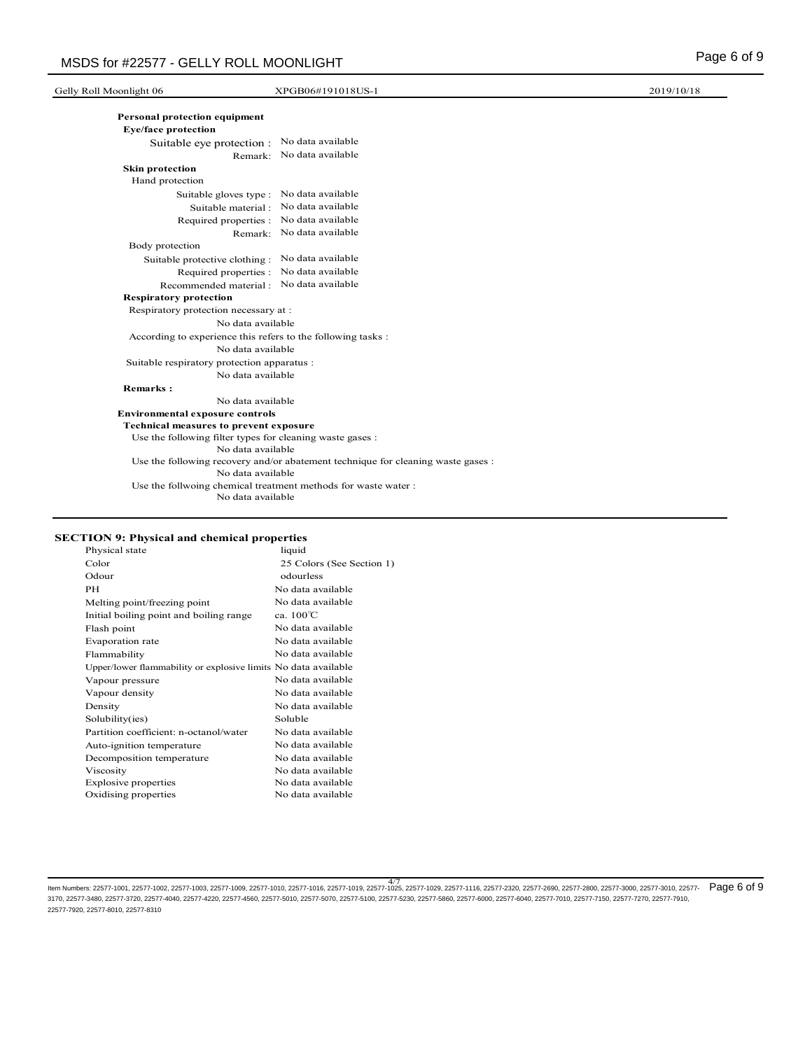| Gelly Roll Moonlight 06                                   | XPGB06#191018US-1                                                                | 2019/10/18 |
|-----------------------------------------------------------|----------------------------------------------------------------------------------|------------|
| Personal protection equipment                             |                                                                                  |            |
| <b>Eye/face protection</b>                                |                                                                                  |            |
| Suitable eye protection : No data available               |                                                                                  |            |
|                                                           | Remark: No data available                                                        |            |
| <b>Skin protection</b>                                    |                                                                                  |            |
| Hand protection                                           |                                                                                  |            |
|                                                           | Suitable gloves type : No data available                                         |            |
|                                                           | Suitable material : No data available                                            |            |
|                                                           | Required properties : No data available                                          |            |
|                                                           | Remark: No data available                                                        |            |
| Body protection                                           |                                                                                  |            |
| Suitable protective clothing : No data available          |                                                                                  |            |
| Required properties :                                     | No data available                                                                |            |
|                                                           | Recommended material : No data available                                         |            |
| <b>Respiratory protection</b>                             |                                                                                  |            |
| Respiratory protection necessary at :                     |                                                                                  |            |
| No data available                                         |                                                                                  |            |
|                                                           | According to experience this refers to the following tasks:                      |            |
| No data available                                         |                                                                                  |            |
| Suitable respiratory protection apparatus :               |                                                                                  |            |
| No data available                                         |                                                                                  |            |
| <b>Remarks:</b>                                           |                                                                                  |            |
| No data available                                         |                                                                                  |            |
| <b>Environmental exposure controls</b>                    |                                                                                  |            |
| <b>Technical measures to prevent exposure</b>             |                                                                                  |            |
| Use the following filter types for cleaning waste gases : |                                                                                  |            |
| No data available                                         |                                                                                  |            |
| No data available                                         | Use the following recovery and/or abatement technique for cleaning waste gases : |            |
| No data available                                         | Use the follwoing chemical treatment methods for waste water:                    |            |

 $1)$ 

## **SECTION 9: Physical and chemical properties**

| Physical state                                                 | liquid                 |
|----------------------------------------------------------------|------------------------|
| Color                                                          | 25 Colors (See Section |
| Odour                                                          | odourless              |
| PH                                                             | No data available      |
| Melting point/freezing point                                   | No data available      |
| Initial boiling point and boiling range                        | ca. 100°C              |
| Flash point                                                    | No data available      |
| Evaporation rate                                               | No data available      |
| Flammability                                                   | No data available      |
| Upper/lower flammability or explosive limits No data available |                        |
| Vapour pressure                                                | No data available      |
| Vapour density                                                 | No data available      |
| Density                                                        | No data available      |
| Solubility(ies)                                                | Soluble                |
| Partition coefficient: n-octanol/water                         | No data available      |
| Auto-ignition temperature                                      | No data available      |
| Decomposition temperature                                      | No data available      |
| Viscosity                                                      | No data available      |
| <b>Explosive properties</b>                                    | No data available      |
| Oxidising properties                                           | No data available      |
|                                                                |                        |

4/7 Item Numbers: 22577-1001, 22577-1002, 22577-1003, 22577-1009, 22577-1010, 22577-1016, 22577-1019, 22577-1025, 22577-1029, 22577-1116, 22577-2320, 22577-2690, 22577-2800, 22577-3000, 22577-3010, 22577- Page 6 of 93170, 22577-3480, 22577-3720, 22577-4040, 22577-4220, 22577-4560, 22577-5010, 22577-5070, 22577-5100, 22577-5230, 22577-5860, 22577-6000, 22577-6040, 22577-7010, 22577-7150, 22577-7270, 22577-7910, 22577-7920, 22577-8010, 22577-8310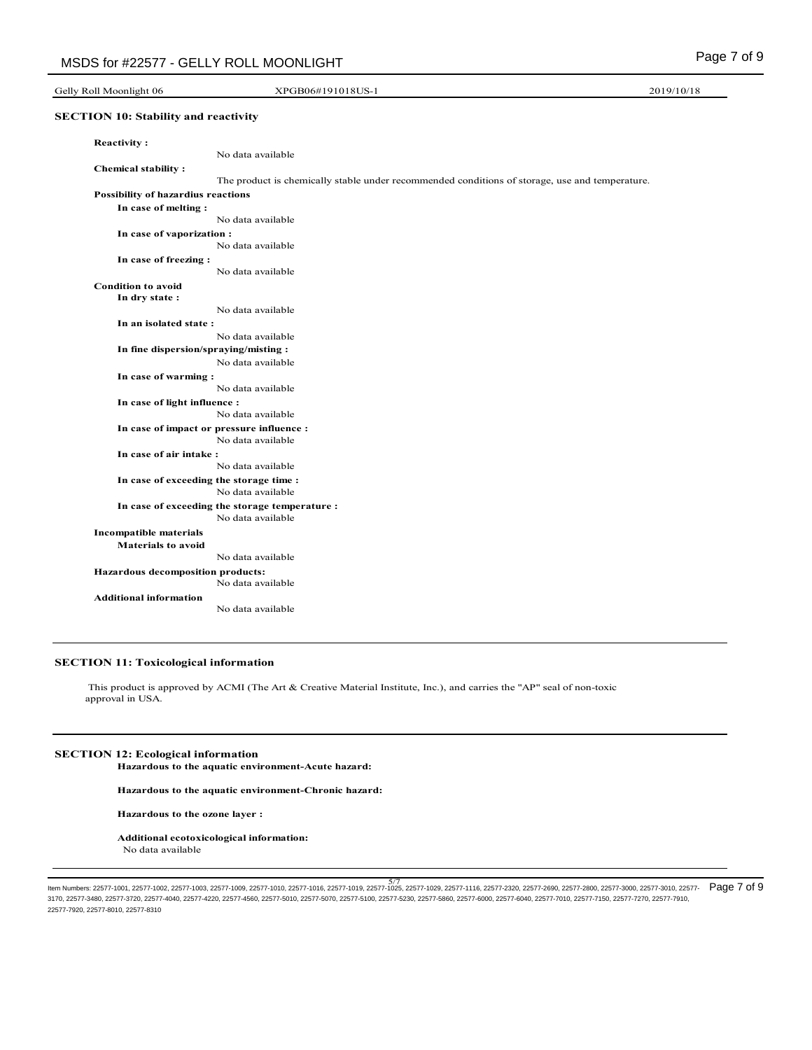## Gelly Roll Moonlight 06 **XPGB06#191018US-1** 2019/10/18

## **SECTION 10: Stability and reactivity**

| <b>Reactivity:</b>                        |                                                                                                |
|-------------------------------------------|------------------------------------------------------------------------------------------------|
|                                           | No data available                                                                              |
| <b>Chemical stability:</b>                |                                                                                                |
|                                           | The product is chemically stable under recommended conditions of storage, use and temperature. |
| <b>Possibility of hazardius reactions</b> |                                                                                                |
| In case of melting:                       |                                                                                                |
|                                           | No data available                                                                              |
| In case of vaporization :                 |                                                                                                |
|                                           | No data available                                                                              |
| In case of freezing :                     |                                                                                                |
|                                           | No data available                                                                              |
| <b>Condition to avoid</b>                 |                                                                                                |
| In dry state:                             |                                                                                                |
|                                           | No data available                                                                              |
| In an isolated state:                     |                                                                                                |
|                                           | No data available                                                                              |
|                                           | In fine dispersion/spraying/misting:                                                           |
|                                           | No data available                                                                              |
| In case of warming:                       |                                                                                                |
|                                           | No data available                                                                              |
| In case of light influence :              |                                                                                                |
|                                           | No data available                                                                              |
|                                           | In case of impact or pressure influence :                                                      |
|                                           | No data available                                                                              |
| In case of air intake:                    |                                                                                                |
|                                           | No data available                                                                              |
|                                           | In case of exceeding the storage time:                                                         |
|                                           | No data available                                                                              |
|                                           | In case of exceeding the storage temperature :                                                 |
|                                           | No data available                                                                              |
| <b>Incompatible materials</b>             |                                                                                                |
| <b>Materials to avoid</b>                 | No data available                                                                              |
|                                           |                                                                                                |
| Hazardous decomposition products:         | No data available                                                                              |
|                                           |                                                                                                |
| <b>Additional information</b>             | No data available                                                                              |
|                                           |                                                                                                |

## **SECTION 11: Toxicological information**

 This product is approved by ACMI (The Art & Creative Material Institute, Inc.), and carries the "AP" seal of non-toxic approval in USA.

# **SECTION 12: Ecological information**

**Hazardous to the aquatic environment-Acute hazard:**

**Hazardous to the aquatic environment-Chronic hazard:**

**Hazardous to the ozone layer :**

**Additional ecotoxicological information:** No data available

5/7<br>Item Numbers: 22577-1001, 22577-1002, 22577-1003, 22577-1009, 22577-1010, 22577-1016, 22577-1019, 22577-1025, 22577-11129, 22577-1116, 22577-2320, 22577-2690, 22577-2800, 22577-3000, 22577-3010, 22577-<br>Item Numbers: 22 3170, 22577-3480, 22577-3720, 22577-4040, 22577-4220, 22577-4560, 22577-5010, 22577-5070, 22577-5100, 22577-5230, 22577-5860, 22577-6000, 22577-6040, 22577-7010, 22577-7150, 22577-7270, 22577-7910, 22577-7920, 22577-8010, 22577-8310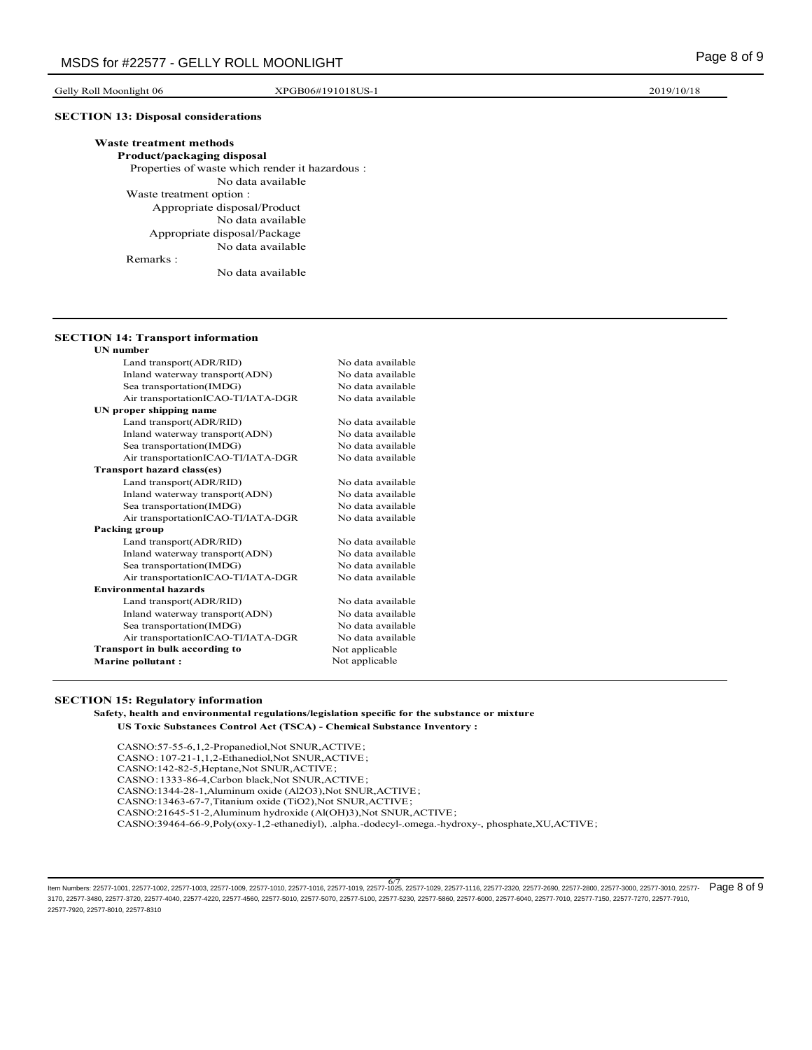Gelly Roll Moonlight 06 **XPGB06#191018US-1** 2019/10/18

## **SECTION 13: Disposal considerations**

| <b>Waste treatment methods</b>                  |
|-------------------------------------------------|
| Product/packaging disposal                      |
| Properties of waste which render it hazardous : |
| No data available                               |
| Waste treatment option :                        |
| Appropriate disposal/Product                    |
| No data available                               |
| Appropriate disposal/Package                    |
| No data available                               |
| Remarks:                                        |
| No data available                               |
|                                                 |

#### **SECTION 14: Transport information**

| <b>UN</b> number                      |                   |
|---------------------------------------|-------------------|
| Land transport(ADR/RID)               | No data available |
| Inland waterway transport(ADN)        | No data available |
| Sea transportation(IMDG)              | No data available |
| Air transportationICAO-TI/IATA-DGR    | No data available |
| UN proper shipping name               |                   |
| Land transport(ADR/RID)               | No data available |
| Inland waterway transport(ADN)        | No data available |
| Sea transportation(IMDG)              | No data available |
| Air transportationICAO-TI/IATA-DGR    | No data available |
| Transport hazard class(es)            |                   |
| Land transport(ADR/RID)               | No data available |
| Inland waterway transport(ADN)        | No data available |
| Sea transportation(IMDG)              | No data available |
| Air transportationICAO-TI/IATA-DGR    | No data available |
| Packing group                         |                   |
| Land transport(ADR/RID)               | No data available |
| Inland waterway transport(ADN)        | No data available |
| Sea transportation(IMDG)              | No data available |
| Air transportationICAO-TI/IATA-DGR    | No data available |
| <b>Environmental hazards</b>          |                   |
| Land transport(ADR/RID)               | No data available |
| Inland waterway transport(ADN)        | No data available |
| Sea transportation(IMDG)              | No data available |
| Air transportationICAO-TI/IATA-DGR    | No data available |
| <b>Transport in bulk according to</b> | Not applicable    |
| <b>Marine pollutant:</b>              | Not applicable    |
|                                       |                   |

#### **SECTION 15: Regulatory information**

 **Safety, health and environmental regulations/legislation specific for the substance or mixture US Toxic Substances Control Act (TSCA) - Chemical Substance Inventory :**

CASNO:57-55-6,1,2-Propanediol,Not SNUR,ACTIVE; CASNO:107-21-1,1,2-Ethanediol,Not SNUR,ACTIVE; CASNO:142-82-5,Heptane,Not SNUR,ACTIVE; CASNO:1333-86-4,Carbon black,Not SNUR,ACTIVE; CASNO:1344-28-1,Aluminum oxide (Al2O3),Not SNUR,ACTIVE; CASNO:13463-67-7,Titanium oxide (TiO2),Not SNUR,ACTIVE; CASNO:21645-51-2,Aluminum hydroxide (Al(OH)3),Not SNUR,ACTIVE; CASNO:39464-66-9,Poly(oxy-1,2-ethanediyl), .alpha.-dodecyl-.omega.-hydroxy-, phosphate,XU,ACTIVE;

kem Numbers: 22577-1001, 22577-1002, 22577-1003, 22577-1009, 22577-1010, 22577-1016, 22577-1019, 22577-1025, 22577-1029, 22577-1116, 22577-2320, 22577-2690, 22577-2800, 22577-3000, 22577-3010, 22577-<br>Item Numbers: 22577-10 3170, 22577-3480, 22577-3720, 22577-4040, 22577-4220, 22577-4560, 22577-5010, 22577-5070, 22577-5100, 22577-5230, 22577-5860, 22577-6000, 22577-6040, 22577-7010, 22577-7150, 22577-7270, 22577-7910, 22577-7920, 22577-8010, 22577-8310